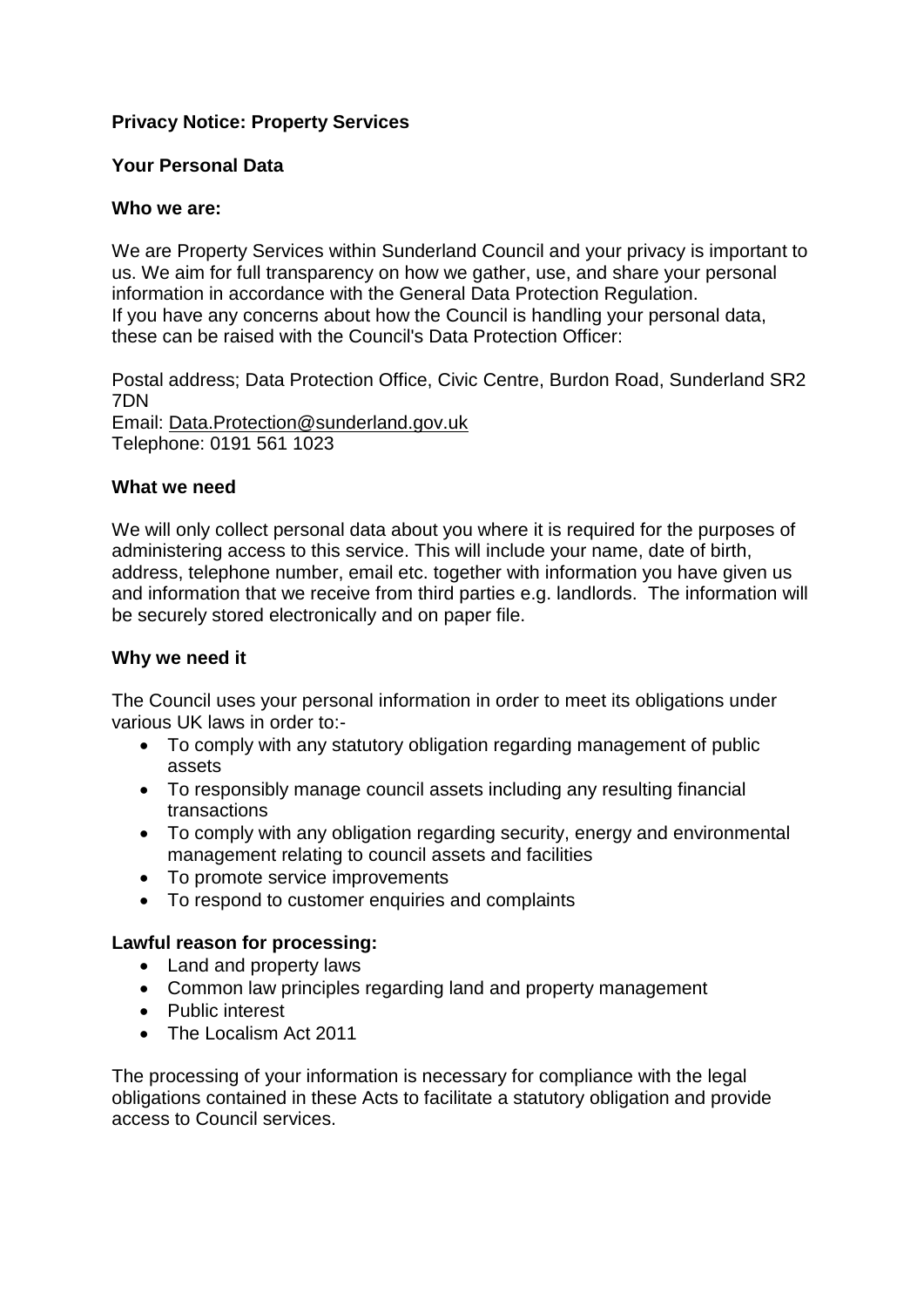# **Privacy Notice: Property Services**

### **Your Personal Data**

### **Who we are:**

We are Property Services within Sunderland Council and your privacy is important to us. We aim for full transparency on how we gather, use, and share your personal information in accordance with the General Data Protection Regulation. If you have any concerns about how the Council is handling your personal data, these can be raised with the Council's Data Protection Officer:

Postal address; Data Protection Office, Civic Centre, Burdon Road, Sunderland SR2 7DN Email: [Data.Protection@sunderland.gov.uk](mailto:Data.Protection@sunderland.gov.uk)

Telephone: 0191 561 1023

#### **What we need**

We will only collect personal data about you where it is required for the purposes of administering access to this service. This will include your name, date of birth, address, telephone number, email etc. together with information you have given us and information that we receive from third parties e.g. landlords. The information will be securely stored electronically and on paper file.

### **Why we need it**

The Council uses your personal information in order to meet its obligations under various UK laws in order to:-

- To comply with any statutory obligation regarding management of public assets
- To responsibly manage council assets including any resulting financial transactions
- To comply with any obligation regarding security, energy and environmental management relating to council assets and facilities
- To promote service improvements
- To respond to customer enquiries and complaints

## **Lawful reason for processing:**

- Land and property laws
- Common law principles regarding land and property management
- Public interest
- The Localism Act 2011

The processing of your information is necessary for compliance with the legal obligations contained in these Acts to facilitate a statutory obligation and provide access to Council services.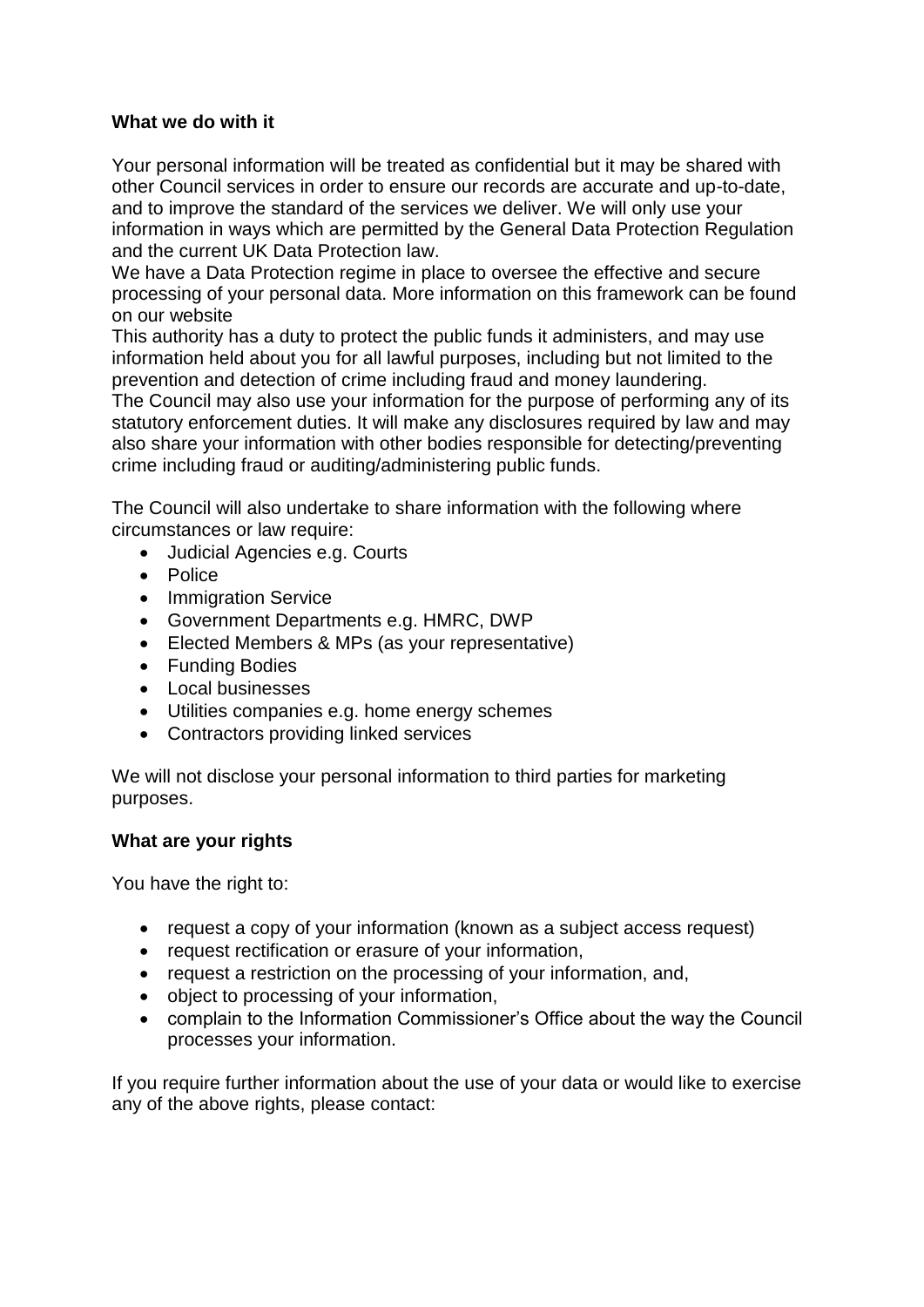# **What we do with it**

Your personal information will be treated as confidential but it may be shared with other Council services in order to ensure our records are accurate and up-to-date, and to improve the standard of the services we deliver. We will only use your information in ways which are permitted by the General Data Protection Regulation and the current UK Data Protection law.

We have a Data Protection regime in place to oversee the effective and secure processing of your personal data. More information on this framework can be found on our website

This authority has a duty to protect the public funds it administers, and may use information held about you for all lawful purposes, including but not limited to the prevention and detection of crime including fraud and money laundering.

The Council may also use your information for the purpose of performing any of its statutory enforcement duties. It will make any disclosures required by law and may also share your information with other bodies responsible for detecting/preventing crime including fraud or auditing/administering public funds.

The Council will also undertake to share information with the following where circumstances or law require:

- Judicial Agencies e.g. Courts
- Police
- Immigration Service
- Government Departments e.g. HMRC, DWP
- Elected Members & MPs (as your representative)
- Funding Bodies
- Local businesses
- Utilities companies e.g. home energy schemes
- Contractors providing linked services

We will not disclose your personal information to third parties for marketing purposes.

# **What are your rights**

You have the right to:

- request a copy of your information (known as a subject access request)
- request rectification or erasure of your information,
- request a restriction on the processing of your information, and,
- object to processing of your information,
- complain to the Information Commissioner's Office about the way the Council processes your information.

If you require further information about the use of your data or would like to exercise any of the above rights, please contact: